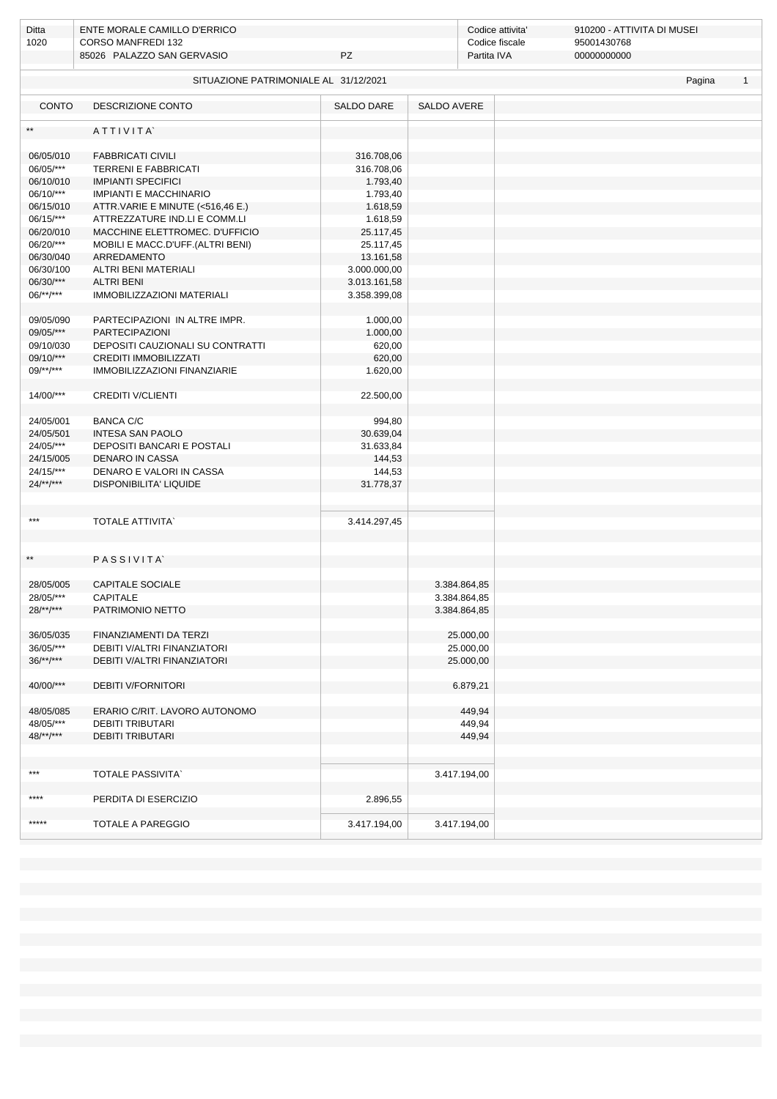| Ditta<br>1020                                                   | ENTE MORALE CAMILLO D'ERRICO<br><b>CORSO MANFREDI 132</b><br>85026 PALAZZO SAN GERVASIO<br>PZ |              |                    | Codice attivita'<br>Codice fiscale<br>Partita IVA | 910200 - ATTIVITA DI MUSEI<br>95001430768<br>00000000000 |  |  |  |  |  |  |  |
|-----------------------------------------------------------------|-----------------------------------------------------------------------------------------------|--------------|--------------------|---------------------------------------------------|----------------------------------------------------------|--|--|--|--|--|--|--|
|                                                                 |                                                                                               |              |                    |                                                   |                                                          |  |  |  |  |  |  |  |
| SITUAZIONE PATRIMONIALE AL 31/12/2021<br>Pagina<br>$\mathbf{1}$ |                                                                                               |              |                    |                                                   |                                                          |  |  |  |  |  |  |  |
| <b>CONTO</b>                                                    | <b>DESCRIZIONE CONTO</b>                                                                      | SALDO DARE   | <b>SALDO AVERE</b> |                                                   |                                                          |  |  |  |  |  |  |  |
| $**$                                                            | ATTIVITA                                                                                      |              |                    |                                                   |                                                          |  |  |  |  |  |  |  |
| 06/05/010                                                       | <b>FABBRICATI CIVILI</b>                                                                      | 316.708,06   |                    |                                                   |                                                          |  |  |  |  |  |  |  |
| 06/05/***                                                       | TERRENI E FABBRICATI                                                                          | 316.708,06   |                    |                                                   |                                                          |  |  |  |  |  |  |  |
| 06/10/010                                                       | <b>IMPIANTI SPECIFICI</b>                                                                     | 1.793,40     |                    |                                                   |                                                          |  |  |  |  |  |  |  |
| 06/10/***                                                       | <b>IMPIANTI E MACCHINARIO</b>                                                                 | 1.793,40     |                    |                                                   |                                                          |  |  |  |  |  |  |  |
| 06/15/010                                                       | ATTR.VARIE E MINUTE (<516,46 E.)                                                              | 1.618,59     |                    |                                                   |                                                          |  |  |  |  |  |  |  |
| 06/15/***                                                       | ATTREZZATURE IND.LI E COMM.LI                                                                 | 1.618,59     |                    |                                                   |                                                          |  |  |  |  |  |  |  |
| 06/20/010                                                       | MACCHINE ELETTROMEC. D'UFFICIO                                                                | 25.117,45    |                    |                                                   |                                                          |  |  |  |  |  |  |  |
| 06/20/***                                                       | MOBILI E MACC.D'UFF.(ALTRI BENI)                                                              | 25.117,45    |                    |                                                   |                                                          |  |  |  |  |  |  |  |
| 06/30/040                                                       | ARREDAMENTO                                                                                   | 13.161,58    |                    |                                                   |                                                          |  |  |  |  |  |  |  |
| 06/30/100                                                       | ALTRI BENI MATERIALI                                                                          | 3.000.000,00 |                    |                                                   |                                                          |  |  |  |  |  |  |  |
| 06/30/***                                                       | <b>ALTRI BENI</b>                                                                             | 3.013.161,58 |                    |                                                   |                                                          |  |  |  |  |  |  |  |
| $06$ /**/***                                                    | <b>IMMOBILIZZAZIONI MATERIALI</b>                                                             | 3.358.399,08 |                    |                                                   |                                                          |  |  |  |  |  |  |  |
| 09/05/090                                                       | PARTECIPAZIONI IN ALTRE IMPR.                                                                 | 1.000,00     |                    |                                                   |                                                          |  |  |  |  |  |  |  |
| 09/05/***                                                       | <b>PARTECIPAZIONI</b>                                                                         | 1.000,00     |                    |                                                   |                                                          |  |  |  |  |  |  |  |
| 09/10/030                                                       | DEPOSITI CAUZIONALI SU CONTRATTI                                                              | 620,00       |                    |                                                   |                                                          |  |  |  |  |  |  |  |
| 09/10/***                                                       | CREDITI IMMOBILIZZATI                                                                         | 620,00       |                    |                                                   |                                                          |  |  |  |  |  |  |  |
| $09$ /**/***                                                    | IMMOBILIZZAZIONI FINANZIARIE                                                                  | 1.620,00     |                    |                                                   |                                                          |  |  |  |  |  |  |  |
|                                                                 |                                                                                               |              |                    |                                                   |                                                          |  |  |  |  |  |  |  |
| 14/00/***                                                       | <b>CREDITI V/CLIENTI</b>                                                                      | 22.500,00    |                    |                                                   |                                                          |  |  |  |  |  |  |  |
| 24/05/001                                                       | <b>BANCA C/C</b>                                                                              | 994,80       |                    |                                                   |                                                          |  |  |  |  |  |  |  |
| 24/05/501                                                       | <b>INTESA SAN PAOLO</b>                                                                       | 30.639,04    |                    |                                                   |                                                          |  |  |  |  |  |  |  |
| 24/05/***                                                       | DEPOSITI BANCARI E POSTALI                                                                    | 31.633,84    |                    |                                                   |                                                          |  |  |  |  |  |  |  |
| 24/15/005                                                       | <b>DENARO IN CASSA</b>                                                                        | 144,53       |                    |                                                   |                                                          |  |  |  |  |  |  |  |
| 24/15/***                                                       | DENARO E VALORI IN CASSA                                                                      | 144,53       |                    |                                                   |                                                          |  |  |  |  |  |  |  |
| $24$ /**/***                                                    | DISPONIBILITA' LIQUIDE                                                                        | 31.778,37    |                    |                                                   |                                                          |  |  |  |  |  |  |  |
|                                                                 |                                                                                               |              |                    |                                                   |                                                          |  |  |  |  |  |  |  |
| $***$                                                           |                                                                                               |              |                    |                                                   |                                                          |  |  |  |  |  |  |  |
|                                                                 | <b>TOTALE ATTIVITA'</b>                                                                       | 3.414.297,45 |                    |                                                   |                                                          |  |  |  |  |  |  |  |
|                                                                 |                                                                                               |              |                    |                                                   |                                                          |  |  |  |  |  |  |  |
| $\star\star$                                                    | PASSIVITA                                                                                     |              |                    |                                                   |                                                          |  |  |  |  |  |  |  |
| 28/05/005                                                       | <b>CAPITALE SOCIALE</b>                                                                       |              |                    |                                                   |                                                          |  |  |  |  |  |  |  |
|                                                                 |                                                                                               |              | 3.384.864,85       |                                                   |                                                          |  |  |  |  |  |  |  |
| 28/05/***<br>$28$ /**/***                                       | CAPITALE                                                                                      |              | 3.384.864,85       |                                                   |                                                          |  |  |  |  |  |  |  |
|                                                                 | PATRIMONIO NETTO                                                                              |              | 3.384.864,85       |                                                   |                                                          |  |  |  |  |  |  |  |
| 36/05/035                                                       | FINANZIAMENTI DA TERZI                                                                        |              | 25.000,00          |                                                   |                                                          |  |  |  |  |  |  |  |
| 36/05/***                                                       | DEBITI V/ALTRI FINANZIATORI                                                                   |              | 25.000,00          |                                                   |                                                          |  |  |  |  |  |  |  |
| $36$ /**/***                                                    | <b>DEBITI V/ALTRI FINANZIATORI</b>                                                            |              | 25.000,00          |                                                   |                                                          |  |  |  |  |  |  |  |
|                                                                 |                                                                                               |              |                    |                                                   |                                                          |  |  |  |  |  |  |  |
| 40/00/***                                                       | <b>DEBITI V/FORNITORI</b>                                                                     |              | 6.879,21           |                                                   |                                                          |  |  |  |  |  |  |  |
| 48/05/085                                                       | ERARIO C/RIT. LAVORO AUTONOMO                                                                 |              | 449,94             |                                                   |                                                          |  |  |  |  |  |  |  |
| 48/05/***                                                       | <b>DEBITI TRIBUTARI</b>                                                                       |              | 449,94             |                                                   |                                                          |  |  |  |  |  |  |  |
| $48$ /**/***                                                    | <b>DEBITI TRIBUTARI</b>                                                                       |              | 449,94             |                                                   |                                                          |  |  |  |  |  |  |  |
|                                                                 |                                                                                               |              |                    |                                                   |                                                          |  |  |  |  |  |  |  |
|                                                                 |                                                                                               |              |                    |                                                   |                                                          |  |  |  |  |  |  |  |
| $***$                                                           | <b>TOTALE PASSIVITA</b>                                                                       |              | 3.417.194,00       |                                                   |                                                          |  |  |  |  |  |  |  |
| ****                                                            |                                                                                               |              |                    |                                                   |                                                          |  |  |  |  |  |  |  |
|                                                                 | PERDITA DI ESERCIZIO                                                                          | 2.896,55     |                    |                                                   |                                                          |  |  |  |  |  |  |  |
| *****                                                           | TOTALE A PAREGGIO                                                                             | 3.417.194,00 | 3.417.194,00       |                                                   |                                                          |  |  |  |  |  |  |  |
|                                                                 |                                                                                               |              |                    |                                                   |                                                          |  |  |  |  |  |  |  |